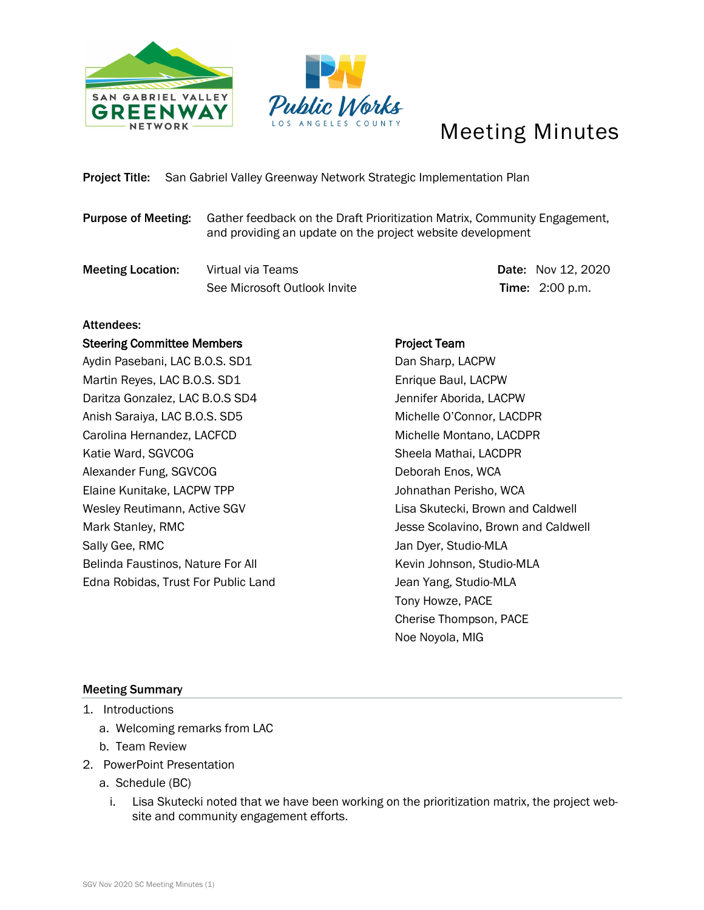



# Meeting Minutes

### Project Title: San Gabriel Valley Greenway Network Strategic Implementation Plan

- Purpose of Meeting: Gather feedback on the Draft Prioritization Matrix, Community Engagement, and providing an update on the project website development
- **Meeting Location:** Virtual via Teams Date: Nov 12, 2020 See Microsoft Outlook Invite Time: 2:00 p.m.

#### Attendees:

#### Steering Committee Members

Aydin Pasebani, LAC B.O.S. SD1 Martin Reyes, LAC B.O.S. SD1 Daritza Gonzalez, LAC B.O.S SD4 Anish Saraiya, LAC B.O.S. SD5 Carolina Hernandez, LACFCD Katie Ward, SGVCOG Alexander Fung, SGVCOG Elaine Kunitake, LACPW TPP Wesley Reutimann, Active SGV Mark Stanley, RMC Sally Gee, RMC Belinda Faustinos, Nature For All Edna Robidas, Trust For Public Land

## Project Team Dan Sharp, LACPW Enrique Baul, LACPW Jennifer Aborida, LACPW Michelle O'Connor, LACDPR Michelle Montano, LACDPR Sheela Mathai, LACDPR Deborah Enos, WCA Johnathan Perisho, WCA Lisa Skutecki, Brown and Caldwell Jesse Scolavino, Brown and Caldwell Jan Dyer, Studio-MLA Kevin Johnson, Studio-MLA Jean Yang, Studio-MLA Tony Howze, PACE Cherise Thompson, PACE Noe Noyola, MIG

#### Meeting Summary

- 1. Introductions
	- a. Welcoming remarks from LAC
	- b. Team Review
- 2. PowerPoint Presentation
	- a. Schedule (BC)
		- i. Lisa Skutecki noted that we have been working on the prioritization matrix, the project website and community engagement efforts.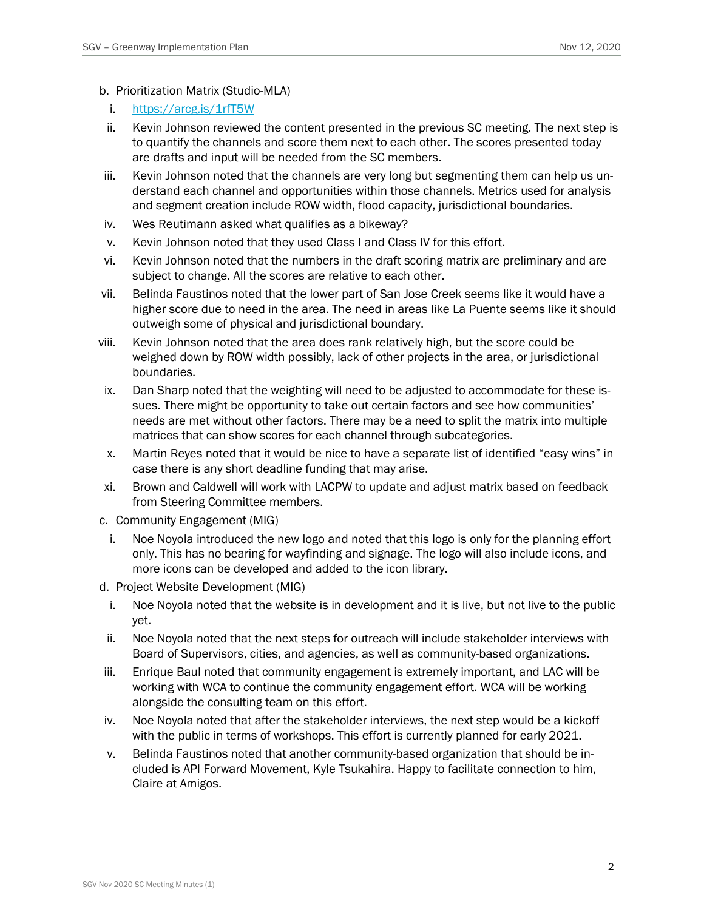- b. Prioritization Matrix (Studio-MLA)
	- i. <https://arcg.is/1rfT5W>
- ii. Kevin Johnson reviewed the content presented in the previous SC meeting. The next step is to quantify the channels and score them next to each other. The scores presented today are drafts and input will be needed from the SC members.
- iii. Kevin Johnson noted that the channels are very long but segmenting them can help us understand each channel and opportunities within those channels. Metrics used for analysis and segment creation include ROW width, flood capacity, jurisdictional boundaries.
- iv. Wes Reutimann asked what qualifies as a bikeway?
- v. Kevin Johnson noted that they used Class I and Class IV for this effort.
- vi. Kevin Johnson noted that the numbers in the draft scoring matrix are preliminary and are subject to change. All the scores are relative to each other.
- vii. Belinda Faustinos noted that the lower part of San Jose Creek seems like it would have a higher score due to need in the area. The need in areas like La Puente seems like it should outweigh some of physical and jurisdictional boundary.
- viii. Kevin Johnson noted that the area does rank relatively high, but the score could be weighed down by ROW width possibly, lack of other projects in the area, or jurisdictional boundaries.
- ix. Dan Sharp noted that the weighting will need to be adjusted to accommodate for these issues. There might be opportunity to take out certain factors and see how communities' needs are met without other factors. There may be a need to split the matrix into multiple matrices that can show scores for each channel through subcategories.
- x. Martin Reyes noted that it would be nice to have a separate list of identified "easy wins" in case there is any short deadline funding that may arise.
- xi. Brown and Caldwell will work with LACPW to update and adjust matrix based on feedback from Steering Committee members.
- c. Community Engagement (MIG)
	- i. Noe Noyola introduced the new logo and noted that this logo is only for the planning effort only. This has no bearing for wayfinding and signage. The logo will also include icons, and more icons can be developed and added to the icon library.
- d. Project Website Development (MIG)
	- i. Noe Noyola noted that the website is in development and it is live, but not live to the public yet.
- ii. Noe Noyola noted that the next steps for outreach will include stakeholder interviews with Board of Supervisors, cities, and agencies, as well as community-based organizations.
- iii. Enrique Baul noted that community engagement is extremely important, and LAC will be working with WCA to continue the community engagement effort. WCA will be working alongside the consulting team on this effort.
- iv. Noe Noyola noted that after the stakeholder interviews, the next step would be a kickoff with the public in terms of workshops. This effort is currently planned for early 2021.
- v. Belinda Faustinos noted that another community-based organization that should be included is API Forward Movement, Kyle Tsukahira. Happy to facilitate connection to him, Claire at Amigos.